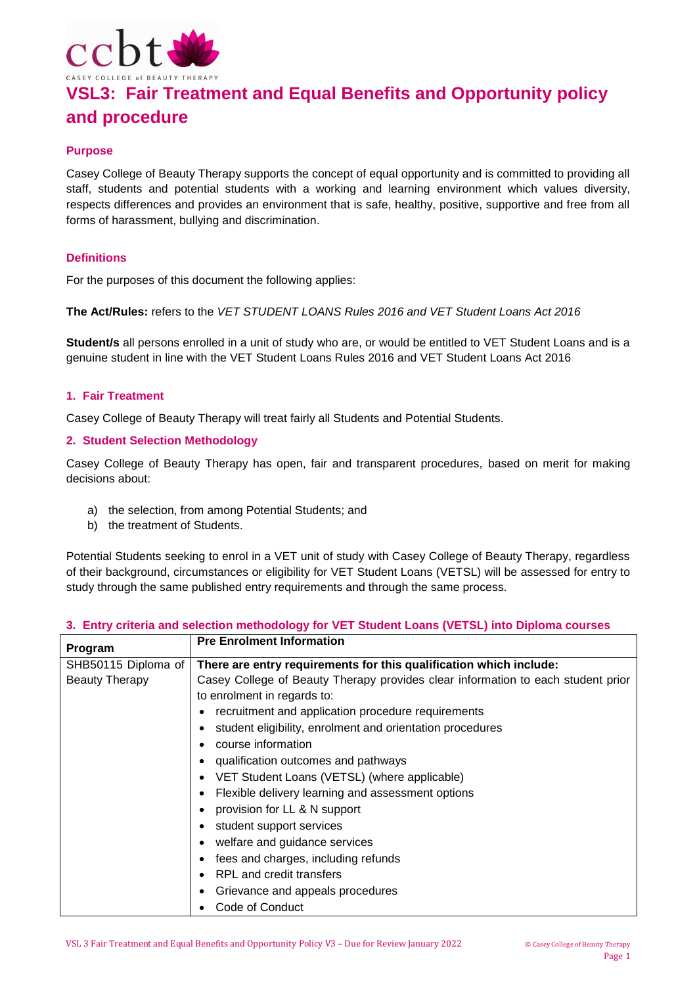

# **VSL3: Fair Treatment and Equal Benefits and Opportunity policy and procedure**

# **Purpose**

Casey College of Beauty Therapy supports the concept of equal opportunity and is committed to providing all staff, students and potential students with a working and learning environment which values diversity, respects differences and provides an environment that is safe, healthy, positive, supportive and free from all forms of harassment, bullying and discrimination.

## **Definitions**

For the purposes of this document the following applies:

**The Act/Rules:** refers to the *VET STUDENT LOANS Rules 2016 and VET Student Loans Act 2016*

**Student/s** all persons enrolled in a unit of study who are, or would be entitled to VET Student Loans and is a genuine student in line with the VET Student Loans Rules 2016 and VET Student Loans Act 2016

#### **1. Fair Treatment**

Casey College of Beauty Therapy will treat fairly all Students and Potential Students.

#### **2. Student Selection Methodology**

Casey College of Beauty Therapy has open, fair and transparent procedures, based on merit for making decisions about:

- a) the selection, from among Potential Students; and
- b) the treatment of Students.

Potential Students seeking to enrol in a VET unit of study with Casey College of Beauty Therapy, regardless of their background, circumstances or eligibility for VET Student Loans (VETSL) will be assessed for entry to study through the same published entry requirements and through the same process.

|  |  |  |  |  |  |  | 3. Entry criteria and selection methodology for VET Student Loans (VETSL) into Diploma courses |
|--|--|--|--|--|--|--|------------------------------------------------------------------------------------------------|
|--|--|--|--|--|--|--|------------------------------------------------------------------------------------------------|

| Program               | <b>Pre Enrolment Information</b>                                                                                |  |  |
|-----------------------|-----------------------------------------------------------------------------------------------------------------|--|--|
| SHB50115 Diploma of   | There are entry requirements for this qualification which include:                                              |  |  |
| <b>Beauty Therapy</b> | Casey College of Beauty Therapy provides clear information to each student prior<br>to enrolment in regards to: |  |  |
|                       | recruitment and application procedure requirements                                                              |  |  |
|                       | student eligibility, enrolment and orientation procedures                                                       |  |  |
|                       | course information                                                                                              |  |  |
|                       | qualification outcomes and pathways                                                                             |  |  |
|                       | VET Student Loans (VETSL) (where applicable)                                                                    |  |  |
|                       | Flexible delivery learning and assessment options                                                               |  |  |
|                       | provision for LL & N support                                                                                    |  |  |
|                       | student support services                                                                                        |  |  |
|                       | welfare and guidance services                                                                                   |  |  |
|                       | fees and charges, including refunds                                                                             |  |  |
|                       | RPL and credit transfers                                                                                        |  |  |
|                       | Grievance and appeals procedures                                                                                |  |  |
|                       | Code of Conduct                                                                                                 |  |  |